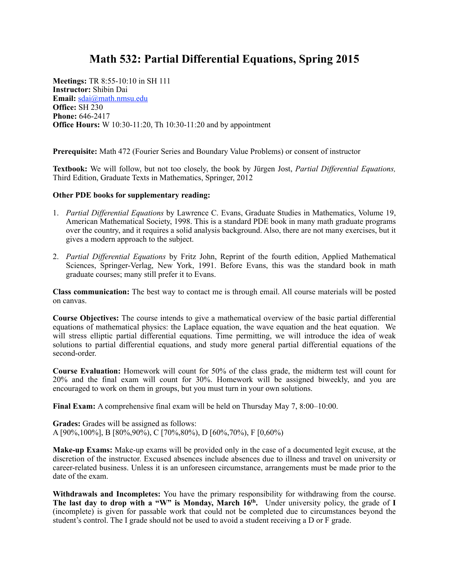## **Math 532: Partial Differential Equations, Spring 2015**

**Meetings:** TR 8:55-10:10 in SH 111 **Instructor:** Shibin Dai **Email:** [sdai@math.nmsu.edu](mailto:sdai@math.nmsu.edu) **Office:** SH 230 **Phone:** 646-2417 **Office Hours:** W 10:30-11:20, Th 10:30-11:20 and by appointment

**Prerequisite:** Math 472 (Fourier Series and Boundary Value Problems) or consent of instructor

**Textbook:** We will follow, but not too closely, the book by Jürgen Jost, *Partial Differential Equations,*  Third Edition, Graduate Texts in Mathematics, Springer, 2012

## **Other PDE books for supplementary reading:**

- 1. *Partial Differential Equations* by Lawrence C. Evans, Graduate Studies in Mathematics, Volume 19, American Mathematical Society, 1998. This is a standard PDE book in many math graduate programs over the country, and it requires a solid analysis background. Also, there are not many exercises, but it gives a modern approach to the subject.
- 2. *Partial Differential Equations* by Fritz John, Reprint of the fourth edition, Applied Mathematical Sciences, Springer-Verlag, New York, 1991. Before Evans, this was the standard book in math graduate courses; many still prefer it to Evans.

**Class communication:** The best way to contact me is through email. All course materials will be posted on canvas.

**Course Objectives:** The course intends to give a mathematical overview of the basic partial differential equations of mathematical physics: the Laplace equation, the wave equation and the heat equation. We will stress elliptic partial differential equations. Time permitting, we will introduce the idea of weak solutions to partial differential equations, and study more general partial differential equations of the second-order.

**Course Evaluation:** Homework will count for 50% of the class grade, the midterm test will count for 20% and the final exam will count for 30%. Homework will be assigned biweekly, and you are encouraged to work on them in groups, but you must turn in your own solutions.

**Final Exam:** A comprehensive final exam will be held on Thursday May 7, 8:00–10:00.

**Grades:** Grades will be assigned as follows: A [90%,100%], B [80%,90%), C [70%,80%), D [60%,70%), F [0,60%)

**Make-up Exams:** Make-up exams will be provided only in the case of a documented legit excuse, at the discretion of the instructor. Excused absences include absences due to illness and travel on university or career-related business. Unless it is an unforeseen circumstance, arrangements must be made prior to the date of the exam.

**Withdrawals and Incompletes:** You have the primary responsibility for withdrawing from the course. The last day to drop with a "W" is Monday, March 16<sup>th</sup>. Under university policy, the grade of **I** (incomplete) is given for passable work that could not be completed due to circumstances beyond the student's control. The I grade should not be used to avoid a student receiving a D or F grade.